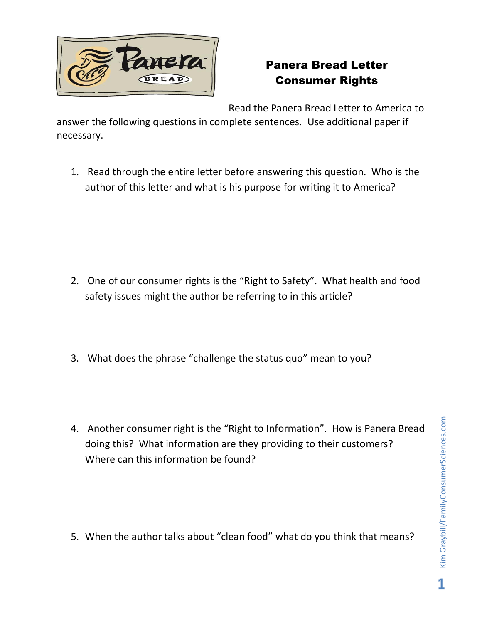

## Panera Bread Letter Consumer Rights

Read the Panera Bread Letter to America to

answer the following questions in complete sentences. Use additional paper if necessary.

1. Read through the entire letter before answering this question. Who is the author of this letter and what is his purpose for writing it to America?

- 2. One of our consumer rights is the "Right to Safety". What health and food safety issues might the author be referring to in this article?
- 3. What does the phrase "challenge the status quo" mean to you?
- 4. Another consumer right is the "Right to Information". How is Panera Bread doing this? What information are they providing to their customers? Where can this information be found?

5. When the author talks about "clean food" what do you think that means?